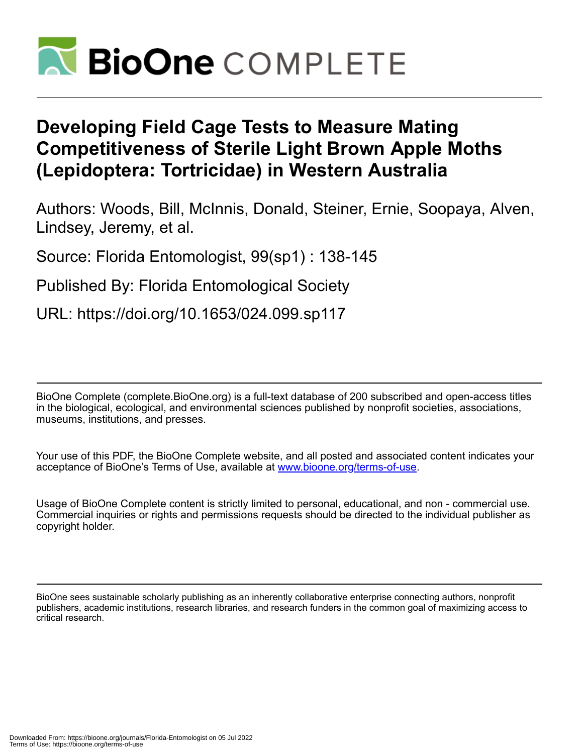

# **Developing Field Cage Tests to Measure Mating Competitiveness of Sterile Light Brown Apple Moths (Lepidoptera: Tortricidae) in Western Australia**

Authors: Woods, Bill, McInnis, Donald, Steiner, Ernie, Soopaya, Alven, Lindsey, Jeremy, et al.

Source: Florida Entomologist, 99(sp1) : 138-145

Published By: Florida Entomological Society

URL: https://doi.org/10.1653/024.099.sp117

BioOne Complete (complete.BioOne.org) is a full-text database of 200 subscribed and open-access titles in the biological, ecological, and environmental sciences published by nonprofit societies, associations, museums, institutions, and presses.

Your use of this PDF, the BioOne Complete website, and all posted and associated content indicates your acceptance of BioOne's Terms of Use, available at www.bioone.org/terms-of-use.

Usage of BioOne Complete content is strictly limited to personal, educational, and non - commercial use. Commercial inquiries or rights and permissions requests should be directed to the individual publisher as copyright holder.

BioOne sees sustainable scholarly publishing as an inherently collaborative enterprise connecting authors, nonprofit publishers, academic institutions, research libraries, and research funders in the common goal of maximizing access to critical research.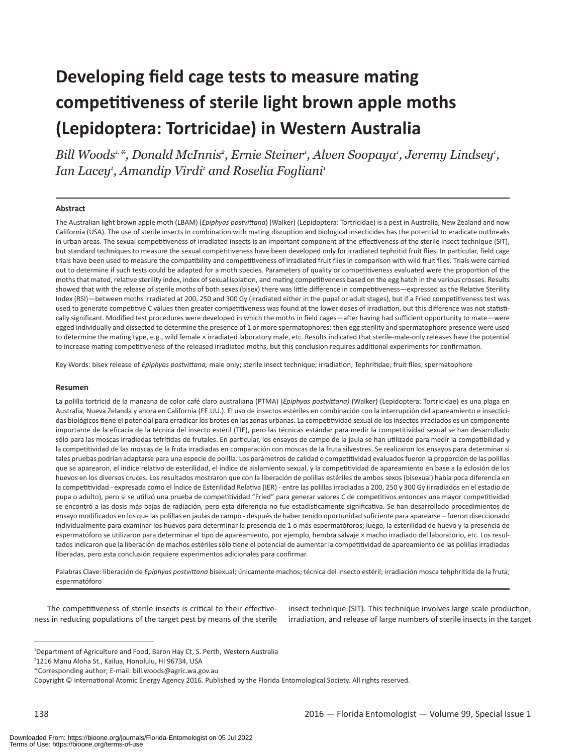# **Developing field cage tests to measure mating competitiveness of sterile light brown apple moths (Lepidoptera: Tortricidae) in Western Australia**

Bill Woods<sup>1,\*</sup>, Donald McInnis<sup>2</sup>, Ernie Steiner<sup>1</sup>, Alven Soopaya<sup>1</sup>, Jeremy Lindsey<sup>1</sup>, Ian Lacey<sup>1</sup>, Amandip Virdi<sup>1</sup> and Roselia Fogliani<sup>1</sup>

#### **Abstract**

The Australian light brown apple moth (LBAM) (*Epiphyas postvittana*) (Walker) (Lepidoptera: Tortricidae) is a pest in Australia, New Zealand and now California (USA). The use of sterile insects in combination with mating disruption and biological insecticides has the potential to eradicate outbreaks in urban areas. The sexual competitiveness of irradiated insects is an important component of the effectiveness of the sterile insect technique (SIT), but standard techniques to measure the sexual competitiveness have been developed only for irradiated tephritid fruit flies. In particular, field cage trials have been used to measure the compatibility and competitiveness of irradiated fruit flies in comparison with wild fruit flies. Trials were carried out to determine if such tests could be adapted for a moth species. Parameters of quality or competitiveness evaluated were the proportion of the moths that mated, relative sterility index, index of sexual isolation, and mating competitiveness based on the egg hatch in the various crosses. Results showed that with the release of sterile moths of both sexes (bisex) there was little difference in competitiveness—expressed as the Relative Sterility Index (RSI)—between moths irradiated at 200, 250 and 300 Gy (irradiated either in the pupal or adult stages), but if a Fried competitiveness test was used to generate competitive C values then greater competitiveness was found at the lower doses of irradiation, but this difference was not statistically significant. Modified test procedures were developed in which the moths in field cages—after having had sufficient opportunity to mate—were egged individually and dissected to determine the presence of 1 or more spermatophores; then egg sterility and spermatophore presence were used to determine the mating type, e.g., wild female × irradiated laboratory male, etc. Results indicated that sterile-male-only releases have the potential to increase mating competitiveness of the released irradiated moths, but this conclusion requires additional experiments for confirmation.

Key Words: bisex release of *Epiphyas postvittana;* male only; sterile insect technique; irradiation; Tephritidae; fruit flies; spermatophore

#### **Resumen**

La polilla tortricid de la manzana de color café claro australiana (PTMA) (*Epiphyas postvittana)* (Walker) (Lepidoptera: Tortricidae) es una plaga en Australia, Nueva Zelanda y ahora en California (EE.UU.). El uso de insectos estériles en combinación con la interrupción del apareamiento e insecticidas biológicos tiene el potencial para erradicar los brotes en las zonas urbanas. La competitividad sexual de los insectos irradiados es un componente importante de la eficacia de la técnica del insecto estéril (TIE), pero las técnicas estándar para medir la competitividad sexual se han desarrollado sólo para las moscas irradiadas tefrítidas de frutales. En particular, los ensayos de campo de la jaula se han utilizado para medir la compatibilidad y la competitividad de las moscas de la fruta irradiadas en comparación con moscas de la fruta silvestres. Se realizaron los ensayos para determinar si tales pruebas podrían adaptarse para una especie de polilla. Los parámetros de calidad o competitividad evaluados fueron la proporción de las polillas que se aparearon, el índice relativo de esterilidad, el índice de aislamiento sexual, y la competitividad de apareamiento en base a la eclosión de los huevos en los diversos cruces. Los resultados mostraron que con la liberación de polillas estériles de ambos sexos (bisexual) había poca diferencia en la competitividad - expresada como el Índice de Esterilidad Relativa (IER) - entre las polillas irradiadas a 200, 250 y 300 Gy (irradiados en el estadio de pupa o adulto), pero si se utilizó una prueba de competitividad "Fried" para generar valores *C* de competitivos entonces una mayor competitividad se encontró a las dosis más bajas de radiación, pero esta diferencia no fue estadísticamente significativa. Se han desarrollado procedimientos de ensayo modificados en los que las polillas en jaulas de campo - después de haber tenido oportunidad suficiente para aparearse – fueron diseccionado individualmente para examinar los huevos para determinar la presencia de 1 o más espermatóforos; luego, la esterilidad de huevo y la presencia de espermatóforo se utilizaron para determinar el tipo de apareamiento, por ejemplo, hembra salvaje × macho irradiado del laboratorio, etc. Los resultados indicaron que la liberación de machos estériles sólo tiene el potencial de aumentar la competitividad de apareamiento de las polillas irradiadas liberadas, pero esta conclusión requiere experimentos adicionales para confirmar.

Palabras Clave: liberación de *Epiphyas postvittana* bisexual; únicamente machos; técnica del insecto estéril; irradiación mosca tehphritida de la fruta; espermatóforo

The competitiveness of sterile insects is critical to their effectiveness in reducing populations of the target pest by means of the sterile

insect technique (SIT). This technique involves large scale production, irradiation, and release of large numbers of sterile insects in the target

<sup>&</sup>lt;sup>1</sup>Department of Agriculture and Food, Baron Hay Ct, S. Perth, Western Australia

<sup>2</sup> 1216 Manu Aloha St., Kailua, Honolulu, HI 96734, USA

<sup>\*</sup>Corresponding author; E-mail: bill.woods@agric.wa.gov.au

Copyright © International Atomic Energy Agency 2016. Published by the Florida Entomological Society. All rights reserved.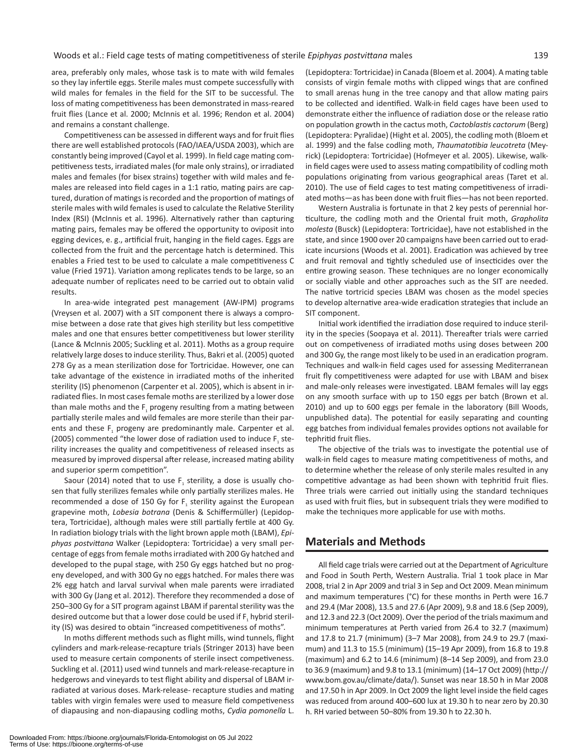area, preferably only males, whose task is to mate with wild females so they lay infertile eggs. Sterile males must compete successfully with wild males for females in the field for the SIT to be successful. The loss of mating competitiveness has been demonstrated in mass-reared fruit flies (Lance et al. 2000; McInnis et al. 1996; Rendon et al. 2004) and remains a constant challenge.

Competitiveness can be assessed in different ways and for fruit flies there are well established protocols (FAO/IAEA/USDA 2003), which are constantly being improved (Cayol et al. 1999). In field cage mating competitiveness tests, irradiated males (for male only strains), or irradiated males and females (for bisex strains) together with wild males and females are released into field cages in a 1:1 ratio, mating pairs are captured, duration of matings is recorded and the proportion of matings of sterile males with wild females is used to calculate the Relative Sterility Index (RSI) (McInnis et al. 1996). Alternatively rather than capturing mating pairs, females may be offered the opportunity to oviposit into egging devices, e. g., artificial fruit, hanging in the field cages. Eggs are collected from the fruit and the percentage hatch is determined. This enables a Fried test to be used to calculate a male competitiveness C value (Fried 1971). Variation among replicates tends to be large, so an adequate number of replicates need to be carried out to obtain valid results.

In area-wide integrated pest management (AW-IPM) programs (Vreysen et al. 2007) with a SIT component there is always a compromise between a dose rate that gives high sterility but less competitive males and one that ensures better competitiveness but lower sterility (Lance & McInnis 2005; Suckling et al. 2011). Moths as a group require relatively large doses to induce sterility. Thus, Bakri et al. (2005) quoted 278 Gy as a mean sterilization dose for Tortricidae. However, one can take advantage of the existence in irradiated moths of the inherited sterility (IS) phenomenon (Carpenter et al. 2005), which is absent in irradiated flies. In most cases female moths are sterilized by a lower dose than male moths and the F<sub>1</sub> progeny resulting from a mating between partially sterile males and wild females are more sterile than their parents and these  $F_1$  progeny are predominantly male. Carpenter et al. (2005) commented "the lower dose of radiation used to induce  $F<sub>1</sub>$  sterility increases the quality and competitiveness of released insects as measured by improved dispersal after release, increased mating ability and superior sperm competition".

Saour (2014) noted that to use  $F<sub>1</sub>$  sterility, a dose is usually chosen that fully sterilizes females while only partially sterilizes males. He recommended a dose of 150 Gy for F, sterility against the European grapevine moth, *Lobesia botrana* (Denis & Schiffermüller) (Lepidoptera, Tortricidae), although males were still partially fertile at 400 Gy. In radiation biology trials with the light brown apple moth (LBAM), *Epiphyas postvittana* Walker (Lepidoptera: Tortricidae) a very small percentage of eggs from female moths irradiated with 200 Gy hatched and developed to the pupal stage, with 250 Gy eggs hatched but no progeny developed, and with 300 Gy no eggs hatched. For males there was 2% egg hatch and larval survival when male parents were irradiated with 300 Gy (Jang et al. 2012). Therefore they recommended a dose of 250–300 Gy for a SIT program against LBAM if parental sterility was the desired outcome but that a lower dose could be used if F, hybrid sterility (IS) was desired to obtain "increased competitiveness of moths".

In moths different methods such as flight mills, wind tunnels, flight cylinders and mark-release-recapture trials (Stringer 2013) have been used to measure certain components of sterile insect competiveness. Suckling et al. (2011) used wind tunnels and mark-release-recapture in hedgerows and vineyards to test flight ability and dispersal of LBAM irradiated at various doses. Mark-release- recapture studies and mating tables with virgin females were used to measure field competiveness of diapausing and non-diapausing codling moths, *Cydia pomonella* L.

(Lepidoptera: Tortricidae) in Canada (Bloem et al. 2004). A mating table consists of virgin female moths with clipped wings that are confined to small arenas hung in the tree canopy and that allow mating pairs to be collected and identified. Walk-in field cages have been used to demonstrate either the influence of radiation dose or the release ratio on population growth in the cactus moth, *Cactoblastis cactorum* (Berg) (Lepidoptera: Pyralidae) (Hight et al. 2005), the codling moth (Bloem et al. 1999) and the false codling moth, *Thaumatotibia leucotreta* (Meyrick) (Lepidoptera: Tortricidae) (Hofmeyer et al. 2005). Likewise, walkin field cages were used to assess mating compatibility of codling moth populations originating from various geographical areas (Taret et al. 2010). The use of field cages to test mating competitiveness of irradiated moths—as has been done with fruit flies—has not been reported.

Western Australia is fortunate in that 2 key pests of perennial horticulture, the codling moth and the Oriental fruit moth, *Grapholita molesta* (Busck) (Lepidoptera: Tortricidae), have not established in the state, and since 1900 over 20 campaigns have been carried out to eradicate incursions (Woods et al. 2001). Eradication was achieved by tree and fruit removal and tightly scheduled use of insecticides over the entire growing season. These techniques are no longer economically or socially viable and other approaches such as the SIT are needed. The native tortricid species LBAM was chosen as the model species to develop alternative area-wide eradication strategies that include an SIT component.

Initial work identified the irradiation dose required to induce sterility in the species (Soopaya et al. 2011). Thereafter trials were carried out on competiveness of irradiated moths using doses between 200 and 300 Gy, the range most likely to be used in an eradication program. Techniques and walk-in field cages used for assessing Mediterranean fruit fly competitiveness were adapted for use with LBAM and bisex and male-only releases were investigated. LBAM females will lay eggs on any smooth surface with up to 150 eggs per batch (Brown et al. 2010) and up to 600 eggs per female in the laboratory (Bill Woods, unpublished data). The potential for easily separating and counting egg batches from individual females provides options not available for tephritid fruit flies.

The objective of the trials was to investigate the potential use of walk-in field cages to measure mating competitiveness of moths, and to determine whether the release of only sterile males resulted in any competitive advantage as had been shown with tephritid fruit flies. Three trials were carried out initially using the standard techniques as used with fruit flies, but in subsequent trials they were modified to make the techniques more applicable for use with moths.

# **Materials and Methods**

All field cage trials were carried out at the Department of Agriculture and Food in South Perth, Western Australia. Trial 1 took place in Mar 2008, trial 2 in Apr 2009 and trial 3 in Sep and Oct 2009. Mean minimum and maximum temperatures (°C) for these months in Perth were 16.7 and 29.4 (Mar 2008), 13.5 and 27.6 (Apr 2009), 9.8 and 18.6 (Sep 2009), and 12.3 and 22.3 (Oct 2009). Over the period of the trials maximum and minimum temperatures at Perth varied from 26.4 to 32.7 (maximum) and 17.8 to 21.7 (minimum) (3–7 Mar 2008), from 24.9 to 29.7 (maximum) and 11.3 to 15.5 (minimum) (15–19 Apr 2009), from 16.8 to 19.8 (maximum) and 6.2 to 14.6 (minimum) (8–14 Sep 2009), and from 23.0 to 36.9 (maximum) and 9.8 to 13.1 (minimum) (14–17 Oct 2009) (http:// www.bom.gov.au/climate/data/). Sunset was near 18.50 h in Mar 2008 and 17.50 h in Apr 2009. In Oct 2009 the light level inside the field cages was reduced from around 400–600 lux at 19.30 h to near zero by 20.30 h. RH varied between 50–80% from 19.30 h to 22.30 h.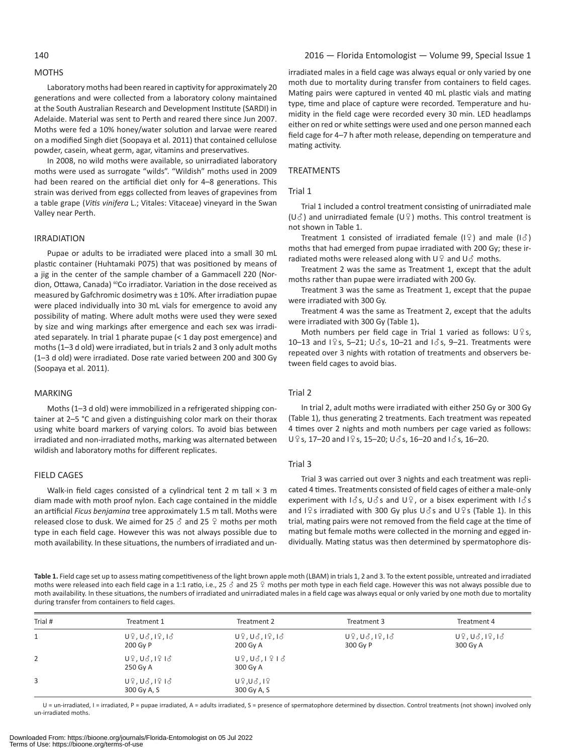### **MOTHS**

Laboratory moths had been reared in captivity for approximately 20 generations and were collected from a laboratory colony maintained at the South Australian Research and Development Institute (SARDI) in Adelaide. Material was sent to Perth and reared there since Jun 2007. Moths were fed a 10% honey/water solution and larvae were reared on a modified Singh diet (Soopaya et al. 2011) that contained cellulose powder, casein, wheat germ, agar, vitamins and preservatives.

In 2008, no wild moths were available, so unirradiated laboratory moths were used as surrogate "wilds". "Wildish" moths used in 2009 had been reared on the artificial diet only for 4–8 generations. This strain was derived from eggs collected from leaves of grapevines from a table grape (*Vitis vinifera* L.; Vitales: Vitaceae) vineyard in the Swan Valley near Perth.

#### **IRRADIATION**

Pupae or adults to be irradiated were placed into a small 30 mL plastic container (Huhtamaki P075) that was positioned by means of a jig in the center of the sample chamber of a Gammacell 220 (Nordion, Ottawa, Canada) <sup>60</sup>Co irradiator. Variation in the dose received as measured by Gafchromic dosimetry was ± 10%. After irradiation pupae were placed individually into 30 mL vials for emergence to avoid any possibility of mating. Where adult moths were used they were sexed by size and wing markings after emergence and each sex was irradiated separately. In trial 1 pharate pupae (< 1 day post emergence) and moths (1–3 d old) were irradiated, but in trials 2 and 3 only adult moths (1–3 d old) were irradiated. Dose rate varied between 200 and 300 Gy (Soopaya et al. 2011).

#### **MARKING**

Moths (1–3 d old) were immobilized in a refrigerated shipping container at 2–5 °C and given a distinguishing color mark on their thorax using white board markers of varying colors. To avoid bias between irradiated and non-irradiated moths, marking was alternated between wildish and laboratory moths for different replicates.

#### Field cages

Walk-in field cages consisted of a cylindrical tent 2 m tall  $\times$  3 m diam made with moth proof nylon. Each cage contained in the middle an artificial *Ficus benjamina* tree approximately 1.5 m tall. Moths were released close to dusk. We aimed for 25  $\delta$  and 25  $\Omega$  moths per moth type in each field cage. However this was not always possible due to moth availability. In these situations, the numbers of irradiated and unirradiated males in a field cage was always equal or only varied by one moth due to mortality during transfer from containers to field cages. Mating pairs were captured in vented 40 mL plastic vials and mating type, time and place of capture were recorded. Temperature and humidity in the field cage were recorded every 30 min. LED headlamps either on red or white settings were used and one person manned each field cage for 4–7 h after moth release, depending on temperature and mating activity.

#### **TREATMENTS**

#### Trial 1

Trial 1 included a control treatment consisting of unirradiated male  $(U\delta)$  and unirradiated female  $(U\hat{Y})$  moths. This control treatment is not shown in Table 1.

Treatment 1 consisted of irradiated female ( $\lvert \frac{1}{2} \rvert$ ) and male ( $\lvert \frac{1}{2} \rvert$ ) moths that had emerged from pupae irradiated with 200 Gy; these irradiated moths were released along with  $U^Q$  and  $U^{\gamma}$  moths.

Treatment 2 was the same as Treatment 1, except that the adult moths rather than pupae were irradiated with 200 Gy.

Treatment 3 was the same as Treatment 1, except that the pupae were irradiated with 300 Gy.

Treatment 4 was the same as Treatment 2, except that the adults were irradiated with 300 Gy (Table 1)**.**

Moth numbers per field cage in Trial 1 varied as follows:  $U^{\circ}$ s, 10–13 and  $1\sqrt{9}$  s, 5–21; U $\sqrt{3}$  s, 10–21 and  $1\sqrt{3}$  s, 9–21. Treatments were repeated over 3 nights with rotation of treatments and observers between field cages to avoid bias.

# Trial 2

In trial 2, adult moths were irradiated with either 250 Gy or 300 Gy (Table 1), thus generating 2 treatments. Each treatment was repeated 4 times over 2 nights and moth numbers per cage varied as follows: U  $9$  s, 17–20 and I  $9$  s, 15–20; U  $3$  s, 16–20 and I  $3$  s, 16–20.

#### Trial 3

Trial 3 was carried out over 3 nights and each treatment was replicated 4 times. Treatments consisted of field cages of either a male-only experiment with  $\vert \delta s$ ,  $\vert \delta s$  and  $\vert \delta s$ , or a bisex experiment with  $\vert \delta s$ and I $\frac{1}{2}$ s irradiated with 300 Gy plus U $\delta$ s and U $\frac{1}{2}$ s (Table 1). In this trial, mating pairs were not removed from the field cage at the time of mating but female moths were collected in the morning and egged individually. Mating status was then determined by spermatophore dis-

**Table 1.** Field cage set up to assess mating competitiveness of the light brown apple moth (LBAM) in trials 1, 2 and 3. To the extent possible, untreated and irradiated moths were released into each field cage in a 1:1 ratio, i.e., 25  $\delta$  and 25  $\Omega$  moths per moth type in each field cage. However this was not always possible due to moth availability. In these situations, the numbers of irradiated and unirradiated males in a field cage was always equal or only varied by one moth due to mortality during transfer from containers to field cages.

| Trial # | Treatment 1                                                        | Treatment 2                                                       | Treatment 3                      | Treatment 4                      |
|---------|--------------------------------------------------------------------|-------------------------------------------------------------------|----------------------------------|----------------------------------|
| 1       | $U_7, U_8, I_7, I_8$<br>200 Gy P                                   | $U_{7}U_{6}U_{11}U_{16}$<br>200 Gy A                              | $U_7, U_6, I_7, I_6$<br>300 Gy P | $U_7, U_6, I_7, I_6$<br>300 Gy A |
| 2       | 250 Gy A                                                           | $U_{7}^{0}$ , $U_{0}^{3}$ , $I_{1}^{0}$ , $I_{0}^{0}$<br>300 Gy A |                                  |                                  |
| 3       | $U_{7}^{0}$ , $U_{6}^{3}$ , $I_{7}^{0}$ $I_{6}^{3}$<br>300 Gy A, S | $U$ $2$ , $U$ $3$ , $1$ $2$<br>300 Gy A, S                        |                                  |                                  |

U = un-irradiated, I = irradiated, P = pupae irradiated, A = adults irradiated, S = presence of spermatophore determined by dissection. Control treatments (not shown) involved only un-irradiated moths.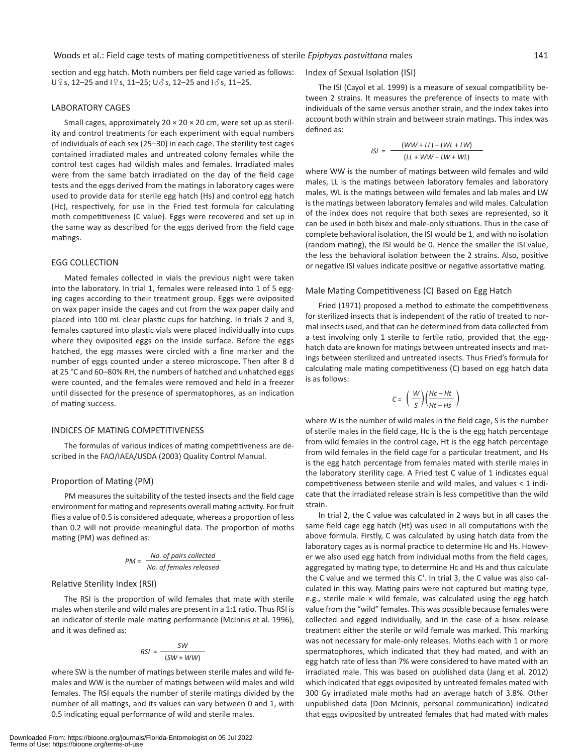section and egg hatch. Moth numbers per field cage varied as follows:  $U \circ s$ , 12–25 and  $I \circ s$ , 11–25;  $U \circ s$ , 12–25 and  $I \circ s$ , 11–25.

#### Laboratory Cages

Small cages, approximately  $20 \times 20 \times 20$  cm, were set up as sterility and control treatments for each experiment with equal numbers of individuals of each sex (25–30) in each cage. The sterility test cages contained irradiated males and untreated colony females while the control test cages had wildish males and females. Irradiated males were from the same batch irradiated on the day of the field cage tests and the eggs derived from the matings in laboratory cages were used to provide data for sterile egg hatch (Hs) and control egg hatch (Hc), respectively, for use in the Fried test formula for calculating moth competitiveness (C value). Eggs were recovered and set up in the same way as described for the eggs derived from the field cage matings.

# Egg Collection

Mated females collected in vials the previous night were taken into the laboratory. In trial 1, females were released into 1 of 5 egging cages according to their treatment group. Eggs were oviposited on wax paper inside the cages and cut from the wax paper daily and placed into 100 mL clear plastic cups for hatching. In trials 2 and 3, females captured into plastic vials were placed individually into cups where they oviposited eggs on the inside surface. Before the eggs hatched, the egg masses were circled with a fine marker and the number of eggs counted under a stereo microscope. Then after 8 d at 25 °C and 60–80% RH, the numbers of hatched and unhatched eggs were counted, and the females were removed and held in a freezer until dissected for the presence of spermatophores, as an indication of mating success.

#### INDICES of Mating Competitiveness

The formulas of various indices of mating competitiveness are described in the FAO/IAEA/USDA (2003) Quality Control Manual.

#### Proportion of Mating (PM)

PM measures the suitability of the tested insects and the field cage environment for mating and represents overall mating activity. For fruit flies a value of 0.5 is considered adequate, whereas a proportion of less than 0.2 will not provide meaningful data. The proportion of moths mating (PM) was defined as:

$$
PM = \frac{No. \text{ of pairs collected}}{No. \text{ of females released}}
$$

#### Relative Sterility Index (RSI)

The RSI is the proportion of wild females that mate with sterile males when sterile and wild males are present in a 1:1 ratio. Thus RSI is an indicator of sterile male mating performance (McInnis et al. 1996), and it was defined as:

$$
RSI = \frac{SW}{(SW + WW)}
$$

where SW is the number of matings between sterile males and wild females and WW is the number of matings between wild males and wild females. The RSI equals the number of sterile matings divided by the number of all matings, and its values can vary between 0 and 1, with 0.5 indicating equal performance of wild and sterile males.

#### Index of Sexual Isolation (ISI)

The ISI (Cayol et al. 1999) is a measure of sexual compatibility between 2 strains. It measures the preference of insects to mate with individuals of the same versus another strain, and the index takes into account both within strain and between strain matings. This index was defined as:

$$
ISI = \frac{(WW + LL) - (WL + LW)}{(LL + WW + LW + WL)}
$$

where WW is the number of matings between wild females and wild males, LL is the matings between laboratory females and laboratory males, WL is the matings between wild females and lab males and LW is the matings between laboratory females and wild males. Calculation of the index does not require that both sexes are represented, so it can be used in both bisex and male-only situations. Thus in the case of complete behavioral isolation, the ISI would be 1, and with no isolation (random mating), the ISI would be 0. Hence the smaller the ISI value, the less the behavioral isolation between the 2 strains. Also, positive or negative ISI values indicate positive or negative assortative mating.

#### Male Mating Competitiveness (C) Based on Egg Hatch

Fried (1971) proposed a method to estimate the competitiveness for sterilized insects that is independent of the ratio of treated to normal insects used, and that can he determined from data collected from a test involving only 1 sterile to fertile ratio, provided that the egghatch data are known for matings between untreated insects and matings between sterilized and untreated insects. Thus Fried's formula for calculating male mating competitiveness (C) based on egg hatch data is as follows:

$$
C = \left(\frac{W}{S}\right) \left(\frac{Hc-Ht}{Ht-Hs}\right)
$$

where W is the number of wild males in the field cage, S is the number of sterile males in the field cage, Hc is the is the egg hatch percentage from wild females in the control cage, Ht is the egg hatch percentage from wild females in the field cage for a particular treatment, and Hs is the egg hatch percentage from females mated with sterile males in the laboratory sterility cage. A Fried test C value of 1 indicates equal competitiveness between sterile and wild males, and values < 1 indicate that the irradiated release strain is less competitive than the wild strain.

In trial 2, the C value was calculated in 2 ways but in all cases the same field cage egg hatch (Ht) was used in all computations with the above formula. Firstly, C was calculated by using hatch data from the laboratory cages as is normal practice to determine Hc and Hs. However we also used egg hatch from individual moths from the field cages, aggregated by mating type, to determine Hc and Hs and thus calculate the C value and we termed this  $C<sup>1</sup>$ . In trial 3, the C value was also calculated in this way. Mating pairs were not captured but mating type, e.g., sterile male  $\times$  wild female, was calculated using the egg hatch value from the "wild" females. This was possible because females were collected and egged individually, and in the case of a bisex release treatment either the sterile or wild female was marked. This marking was not necessary for male-only releases. Moths each with 1 or more spermatophores, which indicated that they had mated, and with an egg hatch rate of less than 7% were considered to have mated with an irradiated male. This was based on published data (Jang et al. 2012) which indicated that eggs oviposited by untreated females mated with 300 Gy irradiated male moths had an average hatch of 3.8%. Other unpublished data (Don McInnis, personal communication) indicated that eggs oviposited by untreated females that had mated with males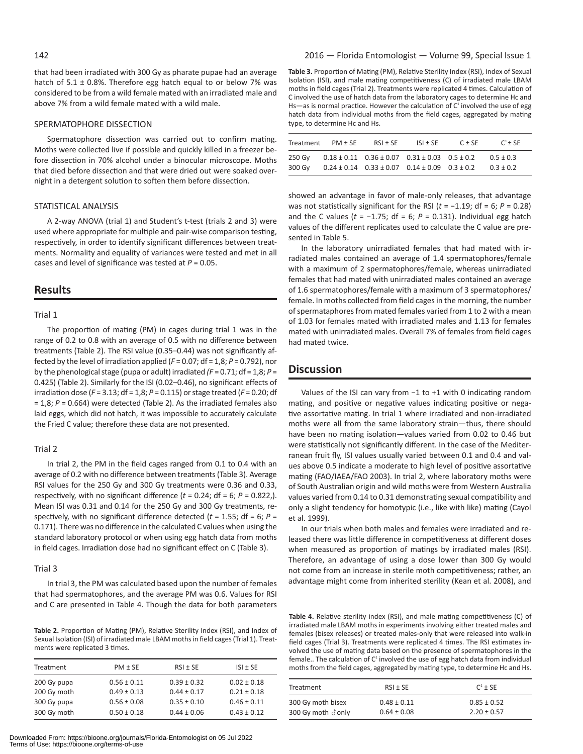that had been irradiated with 300 Gy as pharate pupae had an average hatch of  $5.1 \pm 0.8$ %. Therefore egg hatch equal to or below 7% was considered to be from a wild female mated with an irradiated male and above 7% from a wild female mated with a wild male.

#### Spermatophore Dissection

Spermatophore dissection was carried out to confirm mating. Moths were collected live if possible and quickly killed in a freezer before dissection in 70% alcohol under a binocular microscope. Moths that died before dissection and that were dried out were soaked overnight in a detergent solution to soften them before dissection.

#### STATISTICAL ANALYSIS

A 2-way ANOVA (trial 1) and Student's t-test (trials 2 and 3) were used where appropriate for multiple and pair-wise comparison testing, respectively, in order to identify significant differences between treatments. Normality and equality of variances were tested and met in all cases and level of significance was tested at *P* = 0.05.

# **Results**

#### Trial 1

The proportion of mating (PM) in cages during trial 1 was in the range of 0.2 to 0.8 with an average of 0.5 with no difference between treatments (Table 2). The RSI value (0.35–0.44) was not significantly affected by the level of irradiation applied (*F* = 0.07; df = 1,8; *P* = 0.792), nor by the phenological stage (pupa or adult) irradiated *(F* = 0.71; df = 1,8; *P* = 0.425) (Table 2). Similarly for the ISI (0.02–0.46), no significant effects of irradiation dose (*F* = 3.13; df = 1,8; *P* = 0.115) or stage treated (*F* = 0.20; df = 1,8; *P* = 0.664) were detected (Table 2). As the irradiated females also laid eggs, which did not hatch, it was impossible to accurately calculate the Fried C value; therefore these data are not presented.

### Trial 2

In trial 2, the PM in the field cages ranged from 0.1 to 0.4 with an average of 0.2 with no difference between treatments (Table 3). Average RSI values for the 250 Gy and 300 Gy treatments were 0.36 and 0.33, respectively, with no significant difference ( $t = 0.24$ ; df = 6;  $P = 0.822$ .). Mean ISI was 0.31 and 0.14 for the 250 Gy and 300 Gy treatments, respectively, with no significant difference detected (*t* = 1.55; df = 6; *P* = 0.171). There was no difference in the calculated C values when using the standard laboratory protocol or when using egg hatch data from moths in field cages. Irradiation dose had no significant effect on C (Table 3).

#### Trial 3

In trial 3, the PM was calculated based upon the number of females that had spermatophores, and the average PM was 0.6. Values for RSI and C are presented in Table 4. Though the data for both parameters

**Table 2.** Proportion of Mating (PM), Relative Sterility Index (RSI), and Index of Sexual Isolation (ISI) of irradiated male LBAM moths in field cages (Trial 1). Treatments were replicated 3 times.

| Treatment   | $PM \pm SE$     | $RSI \pm SE$    | $ISI \pm SE$    |
|-------------|-----------------|-----------------|-----------------|
| 200 Gy pupa | $0.56 \pm 0.11$ | $0.39 \pm 0.32$ | $0.02 \pm 0.18$ |
| 200 Gy moth | $0.49 \pm 0.13$ | $0.44 \pm 0.17$ | $0.21 \pm 0.18$ |
| 300 Gy pupa | $0.56 \pm 0.08$ | $0.35 \pm 0.10$ | $0.46 \pm 0.11$ |
| 300 Gy moth | $0.50 \pm 0.18$ | $0.44 \pm 0.06$ | $0.43 \pm 0.12$ |
|             |                 |                 |                 |

**Table 3.** Proportion of Mating (PM), Relative Sterility Index (RSI), Index of Sexual Isolation (ISI), and male mating competitiveness (C) of irradiated male LBAM moths in field cages (Trial 2). Treatments were replicated 4 times. Calculation of C involved the use of hatch data from the laboratory cages to determine Hc and Hs—as is normal practice. However the calculation of  $C<sup>1</sup>$  involved the use of egg hatch data from individual moths from the field cages, aggregated by mating type, to determine Hc and Hs.

| Treatment        | $PM + SF$ | $RSI \pm SE$                                                                                                                   | $ S  + SF$ | $C + SF$ | $C^1$ + SF                   |
|------------------|-----------|--------------------------------------------------------------------------------------------------------------------------------|------------|----------|------------------------------|
| 250 Gv<br>300 Gv |           | $0.18 \pm 0.11$ $0.36 \pm 0.07$ $0.31 \pm 0.03$ $0.5 \pm 0.2$<br>$0.24 \pm 0.14$ $0.33 \pm 0.07$ $0.14 \pm 0.09$ $0.3 \pm 0.2$ |            |          | $0.5 \pm 0.3$<br>$0.3 + 0.2$ |

showed an advantage in favor of male-only releases, that advantage was not statistically significant for the RSI (*t* = −1.19; df = 6; *P* = 0.28) and the C values ( $t = -1.75$ ; df = 6;  $P = 0.131$ ). Individual egg hatch values of the different replicates used to calculate the C value are presented in Table 5.

In the laboratory unirradiated females that had mated with irradiated males contained an average of 1.4 spermatophores/female with a maximum of 2 spermatophores/female, whereas unirradiated females that had mated with unirradiated males contained an average of 1.6 spermatophores/female with a maximum of 3 spermatophores/ female. In moths collected from field cages in the morning, the number of spermataphores from mated females varied from 1 to 2 with a mean of 1.03 for females mated with irradiated males and 1.13 for females mated with unirradiated males. Overall 7% of females from field cages had mated twice.

# **Discussion**

Values of the ISI can vary from −1 to +1 with 0 indicating random mating, and positive or negative values indicating positive or negative assortative mating. In trial 1 where irradiated and non-irradiated moths were all from the same laboratory strain—thus, there should have been no mating isolation—values varied from 0.02 to 0.46 but were statistically not significantly different. In the case of the Mediterranean fruit fly, ISI values usually varied between 0.1 and 0.4 and values above 0.5 indicate a moderate to high level of positive assortative mating (FAO/IAEA/FAO 2003). In trial 2, where laboratory moths were of South Australian origin and wild moths were from Western Australia values varied from 0.14 to 0.31 demonstrating sexual compatibility and only a slight tendency for homotypic (i.e., like with like) mating (Cayol et al. 1999).

In our trials when both males and females were irradiated and released there was little difference in competitiveness at different doses when measured as proportion of matings by irradiated males (RSI). Therefore, an advantage of using a dose lower than 300 Gy would not come from an increase in sterile moth competitiveness; rather, an advantage might come from inherited sterility (Kean et al. 2008), and

**Table 4.** Relative sterility index (RSI), and male mating competitiveness (C) of irradiated male LBAM moths in experiments involving either treated males and females (bisex releases) or treated males-only that were released into walk-in field cages (Trial 3). Treatments were replicated 4 times. The RSI estimates involved the use of mating data based on the presence of spermatophores in the female.. The calculation of  $C<sup>1</sup>$  involved the use of egg hatch data from individual moths from the field cages, aggregated by mating type, to determine Hc and Hs.

| Treatment          | $RSI \pm SE$    | $C^1 \pm SE$    |
|--------------------|-----------------|-----------------|
| 300 Gy moth bisex  | $0.48 \pm 0.11$ | $0.85 \pm 0.52$ |
| 300 Gy moth ♂ only | $0.64 \pm 0.08$ | $2.20 \pm 0.57$ |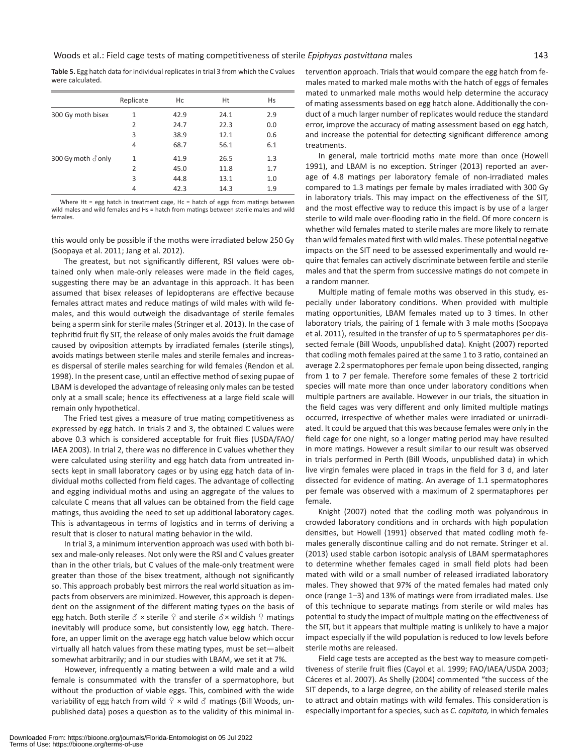**Table 5.** Egg hatch data for individual replicates in trial 3 from which the C values were calculated.

|                    | Replicate | Hc   | Ht   | Hs  |
|--------------------|-----------|------|------|-----|
| 300 Gy moth bisex  | 1         | 42.9 | 24.1 | 2.9 |
|                    | 2         | 24.7 | 22.3 | 0.0 |
|                    | 3         | 38.9 | 12.1 | 0.6 |
|                    | 4         | 68.7 | 56.1 | 6.1 |
| 300 Gy moth ♂ only | 1         | 41.9 | 26.5 | 1.3 |
|                    | 2         | 45.0 | 11.8 | 1.7 |
|                    | 3         | 44.8 | 13.1 | 1.0 |
|                    | 4         | 42.3 | 14.3 | 1.9 |

Where Ht = egg hatch in treatment cage. Hc = hatch of eggs from matings hetween wild males and wild females and Hs = hatch from matings between sterile males and wild females.

this would only be possible if the moths were irradiated below 250 Gy (Soopaya et al. 2011; Jang et al. 2012).

The greatest, but not significantly different, RSI values were obtained only when male-only releases were made in the field cages, suggesting there may be an advantage in this approach. It has been assumed that bisex releases of lepidopterans are effective because females attract mates and reduce matings of wild males with wild females, and this would outweigh the disadvantage of sterile females being a sperm sink for sterile males (Stringer et al. 2013). In the case of tephritid fruit fly SIT, the release of only males avoids the fruit damage caused by oviposition attempts by irradiated females (sterile stings), avoids matings between sterile males and sterile females and increases dispersal of sterile males searching for wild females (Rendon et al. 1998). In the present case, until an effective method of sexing pupae of LBAM is developed the advantage of releasing only males can be tested only at a small scale; hence its effectiveness at a large field scale will remain only hypothetical.

The Fried test gives a measure of true mating competitiveness as expressed by egg hatch. In trials 2 and 3, the obtained C values were above 0.3 which is considered acceptable for fruit flies (USDA/FAO/ IAEA 2003). In trial 2, there was no difference in C values whether they were calculated using sterility and egg hatch data from untreated insects kept in small laboratory cages or by using egg hatch data of individual moths collected from field cages. The advantage of collecting and egging individual moths and using an aggregate of the values to calculate C means that all values can be obtained from the field cage matings, thus avoiding the need to set up additional laboratory cages. This is advantageous in terms of logistics and in terms of deriving a result that is closer to natural mating behavior in the wild.

In trial 3, a minimum intervention approach was used with both bisex and male-only releases. Not only were the RSI and C values greater than in the other trials, but C values of the male-only treatment were greater than those of the bisex treatment, although not significantly so. This approach probably best mirrors the real world situation as impacts from observers are minimized. However, this approach is dependent on the assignment of the different mating types on the basis of egg hatch. Both sterile  $\delta$  × sterile  $\varphi$  and sterile  $\delta$  × wildish  $\varphi$  matings inevitably will produce some, but consistently low, egg hatch. Therefore, an upper limit on the average egg hatch value below which occur virtually all hatch values from these mating types, must be set—albeit somewhat arbitrarily; and in our studies with LBAM, we set it at 7%.

However, infrequently a mating between a wild male and a wild female is consummated with the transfer of a spermatophore, but without the production of viable eggs. This, combined with the wide variability of egg hatch from wild  $\frac{1}{2}$  x wild  $\delta$  matings (Bill Woods, unpublished data) poses a question as to the validity of this minimal intervention approach. Trials that would compare the egg hatch from females mated to marked male moths with the hatch of eggs of females mated to unmarked male moths would help determine the accuracy of mating assessments based on egg hatch alone. Additionally the conduct of a much larger number of replicates would reduce the standard error, improve the accuracy of mating assessment based on egg hatch, and increase the potential for detecting significant difference among treatments.

In general, male tortricid moths mate more than once (Howell 1991), and LBAM is no exception. Stringer (2013) reported an average of 4.8 matings per laboratory female of non-irradiated males compared to 1.3 matings per female by males irradiated with 300 Gy in laboratory trials. This may impact on the effectiveness of the SIT, and the most effective way to reduce this impact is by use of a larger sterile to wild male over-flooding ratio in the field. Of more concern is whether wild females mated to sterile males are more likely to remate than wild females mated first with wild males. These potential negative impacts on the SIT need to be assessed experimentally and would require that females can actively discriminate between fertile and sterile males and that the sperm from successive matings do not compete in a random manner.

Multiple mating of female moths was observed in this study, especially under laboratory conditions. When provided with multiple mating opportunities, LBAM females mated up to 3 times. In other laboratory trials, the pairing of 1 female with 3 male moths (Soopaya et al. 2011), resulted in the transfer of up to 5 spermataphores per dissected female (Bill Woods, unpublished data). Knight (2007) reported that codling moth females paired at the same 1 to 3 ratio, contained an average 2.2 spermatophores per female upon being dissected, ranging from 1 to 7 per female. Therefore some females of these 2 tortricid species will mate more than once under laboratory conditions when multiple partners are available. However in our trials, the situation in the field cages was very different and only limited multiple matings occurred, irrespective of whether males were irradiated or unirradiated. It could be argued that this was because females were only in the field cage for one night, so a longer mating period may have resulted in more matings. However a result similar to our result was observed in trials performed in Perth (Bill Woods, unpublished data) in which live virgin females were placed in traps in the field for 3 d, and later dissected for evidence of mating. An average of 1.1 spermatophores per female was observed with a maximum of 2 spermataphores per female.

Knight (2007) noted that the codling moth was polyandrous in crowded laboratory conditions and in orchards with high population densities, but Howell (1991) observed that mated codling moth females generally discontinue calling and do not remate. Stringer et al. (2013) used stable carbon isotopic analysis of LBAM spermataphores to determine whether females caged in small field plots had been mated with wild or a small number of released irradiated laboratory males. They showed that 97% of the mated females had mated only once (range 1–3) and 13% of matings were from irradiated males. Use of this technique to separate matings from sterile or wild males has potential to study the impact of multiple mating on the effectiveness of the SIT, but it appears that multiple mating is unlikely to have a major impact especially if the wild population is reduced to low levels before sterile moths are released.

Field cage tests are accepted as the best way to measure competitiveness of sterile fruit flies (Cayol et al. 1999; FAO/IAEA/USDA 2003; Cáceres et al. 2007). As Shelly (2004) commented "the success of the SIT depends, to a large degree, on the ability of released sterile males to attract and obtain matings with wild females. This consideration is especially important for a species, such as *C. capitata,* in which females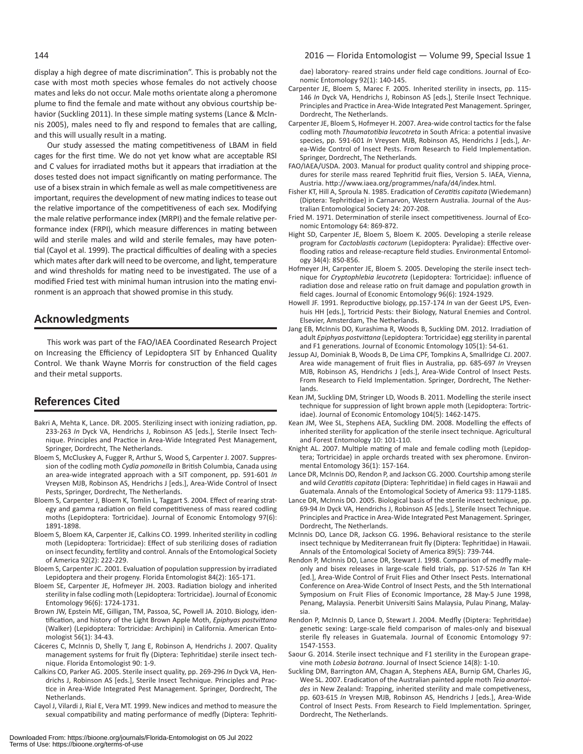display a high degree of mate discrimination". This is probably not the case with most moth species whose females do not actively choose mates and leks do not occur. Male moths orientate along a pheromone plume to find the female and mate without any obvious courtship behavior (Suckling 2011). In these simple mating systems (Lance & McInnis 2005), males need to fly and respond to females that are calling, and this will usually result in a mating.

Our study assessed the mating competitiveness of LBAM in field cages for the first time. We do not yet know what are acceptable RSI and C values for irradiated moths but it appears that irradiation at the doses tested does not impact significantly on mating performance. The use of a bisex strain in which female as well as male competitiveness are important, requires the development of new mating indices to tease out the relative importance of the competitiveness of each sex. Modifying the male relative performance index (MRPI) and the female relative performance index (FRPI), which measure differences in mating between wild and sterile males and wild and sterile females, may have potential (Cayol et al. 1999). The practical difficulties of dealing with a species which mates after dark will need to be overcome, and light, temperature and wind thresholds for mating need to be investigated. The use of a modified Fried test with minimal human intrusion into the mating environment is an approach that showed promise in this study.

# **Acknowledgments**

This work was part of the FAO/IAEA Coordinated Research Project on Increasing the Efficiency of Lepidoptera SIT by Enhanced Quality Control. We thank Wayne Morris for construction of the field cages and their metal supports.

# **References Cited**

- Bakri A, Mehta K, Lance. DR. 2005. Sterilizing insect with ionizing radiation, pp. 233-263 *In* Dyck VA, Hendrichs J, Robinson AS [eds.], Sterile Insect Technique. Principles and Practice in Area-Wide Integrated Pest Management, Springer, Dordrecht, The Netherlands.
- Bloem S, McCluskey A, Fugger R, Arthur S, Wood S, Carpenter J. 2007. Suppression of the codling moth *Cydia pomonella* in British Columbia, Canada using an area-wide integrated approach with a SIT component, pp. 591-601 *In*  Vreysen MJB, Robinson AS, Hendrichs J [eds.], Area-Wide Control of Insect Pests, Springer, Dordrecht, The Netherlands.
- Bloem S, Carpenter J, Bloem K, Tomlin L, Taggart S. 2004. Effect of rearing strategy and gamma radiation on field competitiveness of mass reared codling moths (Lepidoptera: Tortricidae). Journal of Economic Entomology 97(6): 1891-1898.
- Bloem S, Bloem KA, Carpenter JE, Calkins CO. 1999. Inherited sterility in codling moth (Lepidoptera: Tortricidae): Effect of sub sterilizing doses of radiation on insect fecundity, fertility and control. Annals of the Entomological Society of America 92(2): 222-229.
- Bloem S, Carpenter JC. 2001. Evaluation of population suppression by irradiated Lepidoptera and their progeny. Florida Entomologist 84(2): 165-171.
- Bloem SE, Carpenter JE, Hofmeyer JH. 2003. Radiation biology and inherited sterility in false codling moth (Lepidoptera: Tortricidae). Journal of Economic Entomology 96(6): 1724-1731.
- Brown JW, Epstein ME, Gilligan, TM, Passoa, SC, Powell JA. 2010. Biology, identification, and history of the Light Brown Apple Moth, *Epiphyas postvittana*  (Walker) (Lepidoptera: Tortricidae: Archipini) in California. American Entomologist 56(1): 34-43.
- Cáceres C, McInnis D, Shelly T, Jang E, Robinson A, Hendrichs J. 2007. Quality management systems for fruit fly (Diptera: Tephritidae) sterile insect technique. Florida Entomologist 90: 1-9.
- Calkins CO, Parker AG. 2005. Sterile insect quality, pp. 269-296 *In* Dyck VA, Hendrichs J, Robinson AS [eds.], Sterile Insect Technique. Principles and Practice in Area-Wide Integrated Pest Management. Springer, Dordrecht, The Netherlands.
- Cayol J, Vilardi J, Rial E, Vera MT. 1999. New indices and method to measure the sexual compatibility and mating performance of medfly (Diptera: Tephriti-

# 144 2016 — Florida Entomologist — Volume 99, Special Issue 1

dae) laboratory- reared strains under field cage conditions. Journal of Economic Entomology 92(1): 140-145.

- Carpenter JE, Bloem S, Marec F. 2005. Inherited sterility in insects, pp. 115- 146 *In* Dyck VA, Hendrichs J, Robinson AS [eds.], Sterile Insect Technique. Principles and Practice in Area-Wide Integrated Pest Management. Springer, Dordrecht, The Netherlands.
- Carpenter JE, Bloem S, Hofmeyer H. 2007. Area-wide control tactics for the false codling moth *Thaumatotibia leucotreta* in South Africa: a potential invasive species, pp. 591-601 *In* Vreysen MJB, Robinson AS, Hendrichs J [eds.], Area-Wide Control of Insect Pests. From Research to Field Implementation. Springer, Dordrecht, The Netherlands.
- FAO/IAEA/USDA. 2003. Manual for product quality control and shipping procedures for sterile mass reared Tephritid fruit flies, Version 5. IAEA, Vienna, Austria. http://www.iaea.org/programmes/nafa/d4/index.html.
- Fisher KT, Hill A, Sproula N. 1985. Eradication of *Ceratitis capitata* (Wiedemann) (Diptera: Tephritidae) in Carnarvon, Western Australia. Journal of the Australian Entomological Society 24: 207-208.
- Fried M. 1971. Determination of sterile insect competitiveness. Journal of Economic Entomology 64: 869-872.
- Hight SD, Carpenter JE, Bloem S, Bloem K. 2005. Developing a sterile release program for *Cactoblastis cactorum* (Lepidoptera: Pyralidae): Effective overflooding ratios and release-recapture field studies. Environmental Entomology 34(4): 850-856.
- Hofmeyer JH, Carpenter JE, Bloem S. 2005. Developing the sterile insect technique for *Cryptophlebia leucotreta* (Lepidoptera: Tortricidae): influence of radiation dose and release ratio on fruit damage and population growth in field cages. Journal of Economic Entomology 96(6): 1924-1929.
- Howell JF. 1991. Reproductive biology, pp.157-174 *In* van der Geest LPS, Evenhuis HH [eds.], Tortricid Pests: their Biology, Natural Enemies and Control. Elsevier, Amsterdam, The Netherlands.
- Jang EB, McInnis DO, Kurashima R, Woods B, Suckling DM. 2012. Irradiation of adult *Epiphyas postvittana* (Lepidoptera: Tortricidae) egg sterility in parental and F1 generations. Journal of Economic Entomology 105(1): 54-61.
- Jessup AJ, Dominiak B, Woods B, De Lima CPF, Tompkins A, Smallridge CJ. 2007. Area wide management of fruit flies in Australia, pp. 685-697 *In* Vreysen MJB, Robinson AS, Hendrichs J [eds.], Area-Wide Control of Insect Pests. From Research to Field Implementation. Springer, Dordrecht, The Netherlands.
- Kean JM, Suckling DM, Stringer LD, Woods B. 2011. Modelling the sterile insect technique for suppression of light brown apple moth (Lepidoptera: Tortricidae). Journal of Economic Entomology 104(5): 1462-1475.
- Kean JM, Wee SL, Stephens AEA, Suckling DM. 2008. Modelling the effects of inherited sterility for application of the sterile insect technique. Agricultural and Forest Entomology 10: 101-110.
- Knight AL. 2007. Multiple mating of male and female codling moth (Lepidoptera; Tortricidae) in apple orchards treated with sex pheromone. Environmental Entomology 36(1): 157-164.
- Lance DR, McInnis DO, Rendon P, and Jackson CG. 2000. Courtship among sterile and wild *Ceratitis capitata* (Diptera: Tephritidae) in field cages in Hawaii and Guatemala. Annals of the Entomological Society of America 93: 1179-1185.
- Lance DR, McInnis DO. 2005. Biological basis of the sterile insect technique, pp. 69-94 *In* Dyck VA, Hendrichs J, Robinson AS [eds.], Sterile Insect Technique. Principles and Practice in Area-Wide Integrated Pest Management. Springer, Dordrecht, The Netherlands.
- McInnis DO, Lance DR, Jackson CG. 1996**.** Behavioral resistance to the sterile insect technique by Mediterranean fruit fly (Diptera: Tephritidae) in Hawaii. Annals of the Entomological Society of America 89(5): 739-744.
- Rendon P, McInnis DO, Lance DR, Stewart J. 1998. Comparison of medfly maleonly and bisex releases in large-scale field trials, pp. 517-526 *In* Tan KH [ed.], Area-Wide Control of Fruit Flies and Other Insect Pests. International Conference on Area-Wide Control of Insect Pests, and the 5th International Symposium on Fruit Flies of Economic Importance, 28 May-5 June 1998, Penang, Malaysia. Penerbit Universiti Sains Malaysia, Pulau Pinang, Malaysia.
- Rendon P, McInnis D, Lance D, Stewart J. 2004. Medfly (Diptera: Tephritidae) genetic sexing: Large-scale field comparison of males-only and bisexual sterile fly releases in Guatemala. Journal of Economic Entomology 97: 1547-1553.
- Saour G. 2014. Sterile insect technique and F1 sterility in the European grapevine moth *Lobesia botrana*. Journal of Insect Science 14(8): 1-10.
- Suckling DM, Barrington AM, Chagan A, Stephens AEA, Burnip GM, Charles JG, Wee SL. 2007. Eradication of the Australian painted apple moth *Teia anartoides* in New Zealand: Trapping, inherited sterility and male competiveness, pp. 603-615 *In* Vreysen MJB, Robinson AS, Hendrichs J [eds.], Area-Wide Control of Insect Pests. From Research to Field Implementation. Springer, Dordrecht, The Netherlands.